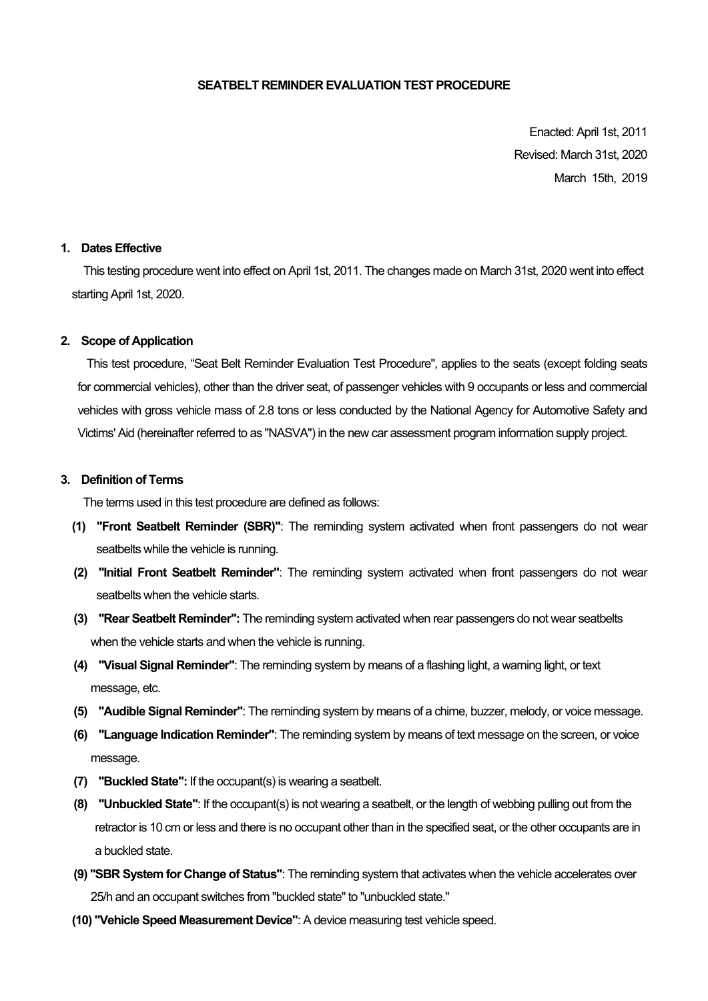#### **SEATBELT REMINDER EVALUATION TEST PROCEDURE**

Enacted: April 1st, 2011 Revised: March 31st, 2020 March 15th, 2019

#### **1. Dates Effective**

 This testing procedure went into effect on April 1st, 2011. The changes made on March 31st, 2020 went into effect starting April 1st, 2020.

#### **2. Scope of Application**

This test procedure, "Seat Belt Reminder Evaluation Test Procedure", applies to the seats (except folding seats for commercial vehicles), other than the driver seat, of passenger vehicles with 9 occupants or less and commercial vehicles with gross vehicle mass of 2.8 tons or less conducted by the National Agency for Automotive Safety and Victims' Aid (hereinafter referred to as "NASVA") in the new car assessment program information supply project.

#### **3. Definition of Terms**

The terms used in this test procedure are defined as follows:

- **(1) "Front Seatbelt Reminder (SBR)"**: The reminding system activated when front passengers do not wear seatbelts while the vehicle is running.
- **(2) "Initial Front Seatbelt Reminder"**: The reminding system activated when front passengers do not wear seatbelts when the vehicle starts.
- **(3) "Rear Seatbelt Reminder":** The reminding system activated when rear passengers do not wear seatbelts when the vehicle starts and when the vehicle is running.
- **(4) "Visual Signal Reminder"**: The reminding system by means of a flashing light, a warning light, or text message, etc.
- **(5) "Audible Signal Reminder"**: The reminding system by means of a chime, buzzer, melody, or voice message.
- **(6) "Language Indication Reminder"**: The reminding system by means of text message on the screen, or voice message.
- **(7) "Buckled State":** If the occupant(s) is wearing a seatbelt.
- **(8) "Unbuckled State"**: If the occupant(s) is not wearing a seatbelt, or the length of webbing pulling out from the retractor is 10 cm or less and there is no occupant other than in the specified seat, or the other occupants are in a buckled state.
- **(9) "SBR System for Change of Status"**: The reminding system that activates when the vehicle accelerates over 25/h and an occupant switches from "buckled state" to "unbuckled state."
- **(10) "Vehicle Speed Measurement Device"**: A device measuring test vehicle speed.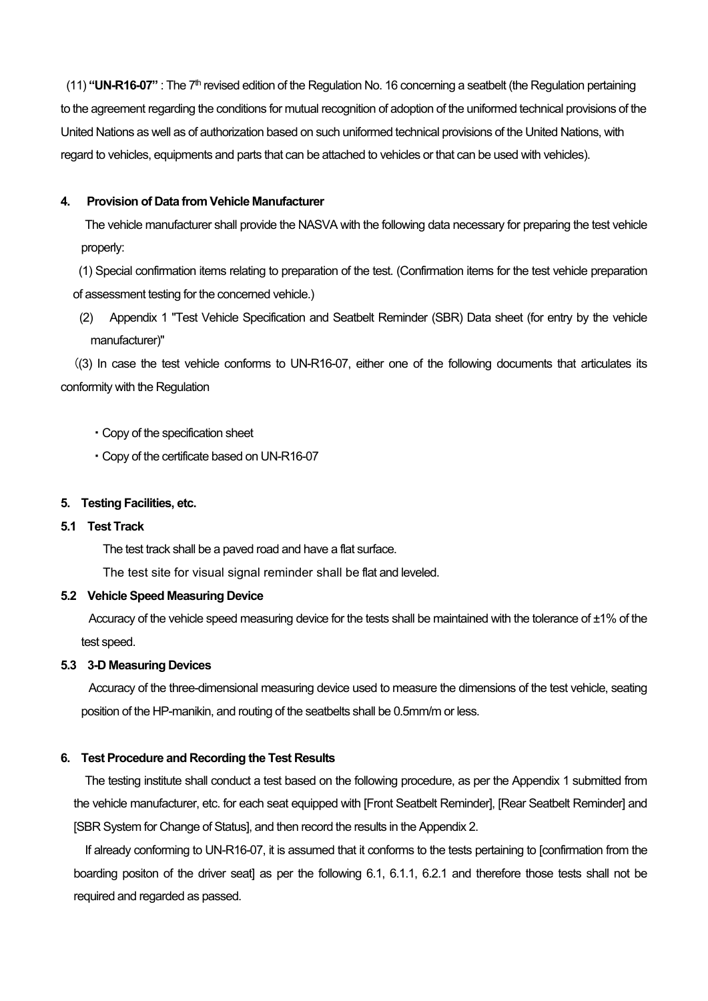(11) **"UN-R16-07"** : The 7th revised edition of the Regulation No. 16 concerning a seatbelt (the Regulation pertaining to the agreement regarding the conditions for mutual recognition of adoption of the uniformed technical provisions of the United Nations as well as of authorization based on such uniformed technical provisions of the United Nations, with regard to vehicles, equipments and parts that can be attached to vehicles or that can be used with vehicles).

# **4. Provision of Data from Vehicle Manufacturer**

The vehicle manufacturer shall provide the NASVA with the following data necessary for preparing the test vehicle properly:

 (1) Special confirmation items relating to preparation of the test. (Confirmation items for the test vehicle preparation of assessment testing for the concerned vehicle.)

 (2) Appendix 1 "Test Vehicle Specification and Seatbelt Reminder (SBR) Data sheet (for entry by the vehicle manufacturer)"

((3) In case the test vehicle conforms to UN-R16-07, either one of the following documents that articulates its conformity with the Regulation

- ・Copy of the specification sheet
- ・Copy of the certificate based on UN-R16-07

#### **5. Testing Facilities, etc.**

#### **5.1 Test Track**

The test track shall be a paved road and have a flat surface.

The test site for visual signal reminder shall be flat and leveled.

# **5.2 Vehicle Speed Measuring Device**

Accuracy of the vehicle speed measuring device for the tests shall be maintained with the tolerance of ±1% of the test speed.

#### **5.3 3-D Measuring Devices**

Accuracy of the three-dimensional measuring device used to measure the dimensions of the test vehicle, seating position of the HP-manikin, and routing of the seatbelts shall be 0.5mm/m or less.

#### **6. Test Procedure and Recording the Test Results**

The testing institute shall conduct a test based on the following procedure, as per the Appendix 1 submitted from the vehicle manufacturer, etc. for each seat equipped with [Front Seatbelt Reminder], [Rear Seatbelt Reminder] and [SBR System for Change of Status], and then record the results in the Appendix 2.

If already conforming to UN-R16-07, it is assumed that it conforms to the tests pertaining to [confirmation from the boarding positon of the driver seat] as per the following 6.1, 6.1.1, 6.2.1 and therefore those tests shall not be required and regarded as passed.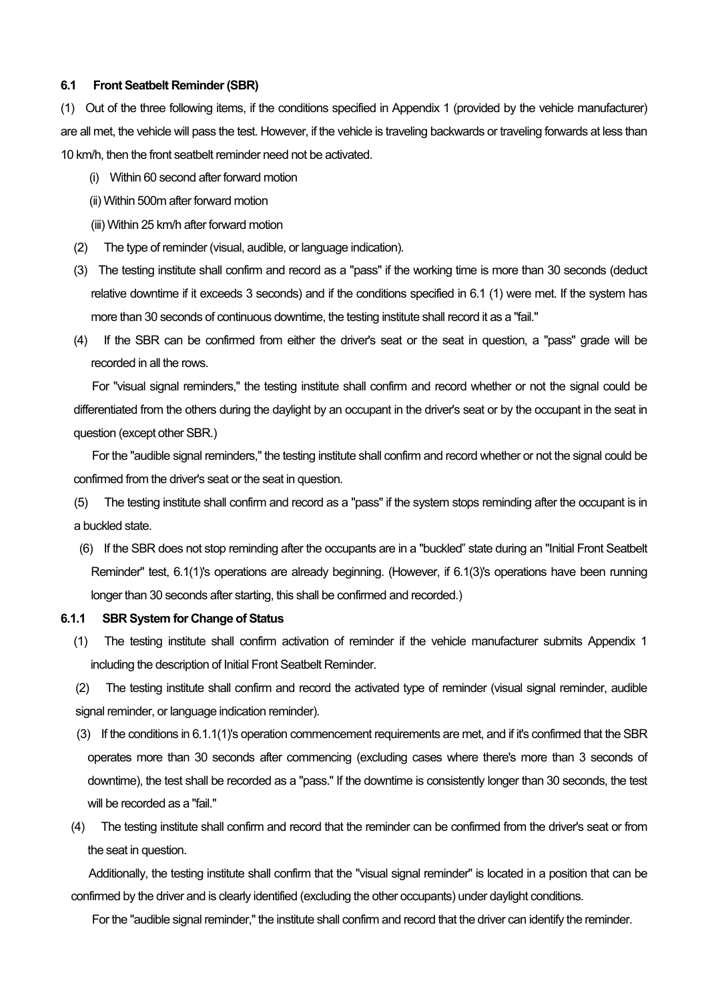#### **6.1 Front Seatbelt Reminder (SBR)**

(1) Out of the three following items, if the conditions specified in Appendix 1 (provided by the vehicle manufacturer) are all met, the vehicle will pass the test. However, if the vehicle is traveling backwards or traveling forwards at less than 10 km/h, then the front seatbelt reminder need not be activated.

- (i) Within 60 second after forward motion
- (ii) Within 500m after forward motion
- (iii) Within 25 km/h after forward motion
- (2) The type of reminder (visual, audible, or language indication).
- (3) The testing institute shall confirm and record as a "pass" if the working time is more than 30 seconds (deduct relative downtime if it exceeds 3 seconds) and if the conditions specified in 6.1 (1) were met. If the system has more than 30 seconds of continuous downtime, the testing institute shall record it as a "fail."
- (4) If the SBR can be confirmed from either the driver's seat or the seat in question, a "pass" grade will be recorded in all the rows.

For "visual signal reminders," the testing institute shall confirm and record whether or not the signal could be differentiated from the others during the daylight by an occupant in the driver's seat or by the occupant in the seat in question (except other SBR.)

For the "audible signal reminders," the testing institute shall confirm and record whether or not the signal could be confirmed from the driver's seat or the seat in question.

(5) The testing institute shall confirm and record as a "pass" if the system stops reminding after the occupant is in a buckled state.

 (6) If the SBR does not stop reminding after the occupants are in a "buckled" state during an "Initial Front Seatbelt Reminder" test, 6.1(1)'s operations are already beginning. (However, if 6.1(3)'s operations have been running longer than 30 seconds after starting, this shall be confirmed and recorded.)

#### **6.1.1 SBR System for Change of Status**

(1) The testing institute shall confirm activation of reminder if the vehicle manufacturer submits Appendix 1 including the description of Initial Front Seatbelt Reminder.

(2) The testing institute shall confirm and record the activated type of reminder (visual signal reminder, audible signal reminder, or language indication reminder).

- (3) If the conditions in 6.1.1(1)'s operation commencement requirements are met, and if it's confirmed that the SBR operates more than 30 seconds after commencing (excluding cases where there's more than 3 seconds of downtime), the test shall be recorded as a "pass." If the downtime is consistently longer than 30 seconds, the test will be recorded as a "fail."
- (4) The testing institute shall confirm and record that the reminder can be confirmed from the driver's seat or from the seat in question.

Additionally, the testing institute shall confirm that the "visual signal reminder" is located in a position that can be confirmed by the driver and is clearly identified (excluding the other occupants) under daylight conditions.

For the "audible signal reminder," the institute shall confirm and record that the driver can identify the reminder.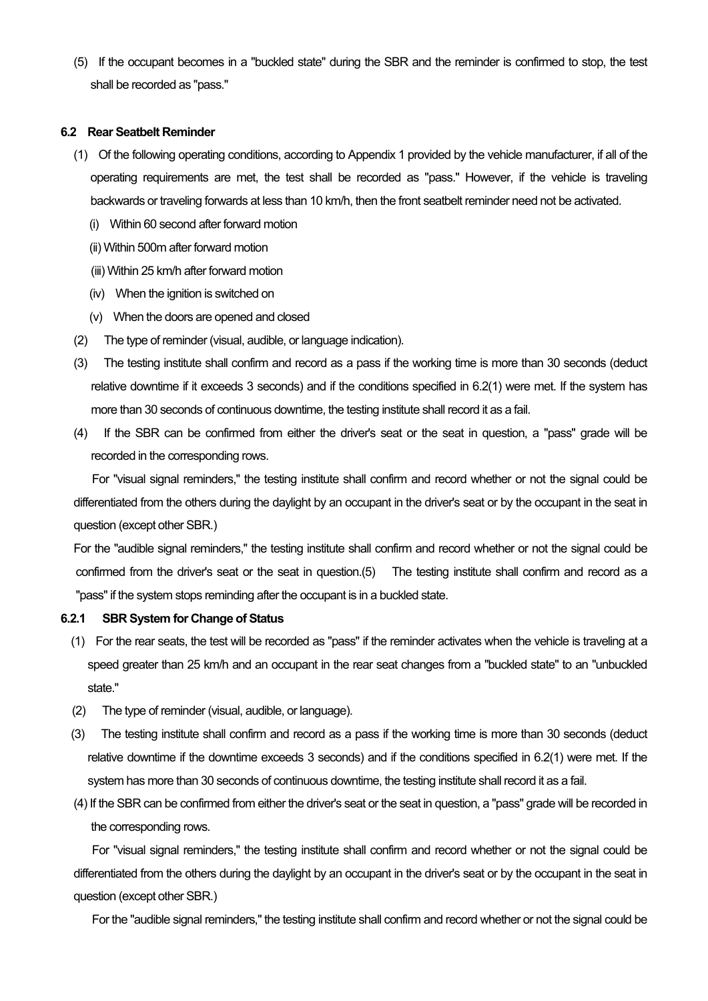(5) If the occupant becomes in a "buckled state" during the SBR and the reminder is confirmed to stop, the test shall be recorded as "pass."

#### **6.2 Rear Seatbelt Reminder**

- (1) Of the following operating conditions, according to Appendix 1 provided by the vehicle manufacturer, if all of the operating requirements are met, the test shall be recorded as "pass." However, if the vehicle is traveling backwards or traveling forwards at less than 10 km/h, then the front seatbelt reminder need not be activated.
	- (i) Within 60 second after forward motion
	- (ii) Within 500m after forward motion
	- (iii) Within 25 km/h after forward motion
	- (iv) When the ignition is switched on
	- (v) When the doors are opened and closed
- (2) The type of reminder (visual, audible, or language indication).
- (3) The testing institute shall confirm and record as a pass if the working time is more than 30 seconds (deduct relative downtime if it exceeds 3 seconds) and if the conditions specified in 6.2(1) were met. If the system has more than 30 seconds of continuous downtime, the testing institute shall record it as a fail.
- (4) If the SBR can be confirmed from either the driver's seat or the seat in question, a "pass" grade will be recorded in the corresponding rows.

For "visual signal reminders," the testing institute shall confirm and record whether or not the signal could be differentiated from the others during the daylight by an occupant in the driver's seat or by the occupant in the seat in question (except other SBR.)

For the "audible signal reminders," the testing institute shall confirm and record whether or not the signal could be confirmed from the driver's seat or the seat in question.(5) The testing institute shall confirm and record as a "pass" if the system stops reminding after the occupant is in a buckled state.

#### **6.2.1 SBR System for Change of Status**

- (1) For the rear seats, the test will be recorded as "pass" if the reminder activates when the vehicle is traveling at a speed greater than 25 km/h and an occupant in the rear seat changes from a "buckled state" to an "unbuckled state."
- (2) The type of reminder (visual, audible, or language).
- (3) The testing institute shall confirm and record as a pass if the working time is more than 30 seconds (deduct relative downtime if the downtime exceeds 3 seconds) and if the conditions specified in 6.2(1) were met. If the system has more than 30 seconds of continuous downtime, the testing institute shall record it as a fail.
- (4) If the SBR can be confirmed from either the driver's seat or the seat in question, a "pass" grade will be recorded in the corresponding rows.

For "visual signal reminders," the testing institute shall confirm and record whether or not the signal could be differentiated from the others during the daylight by an occupant in the driver's seat or by the occupant in the seat in question (except other SBR.)

For the "audible signal reminders," the testing institute shall confirm and record whether or not the signal could be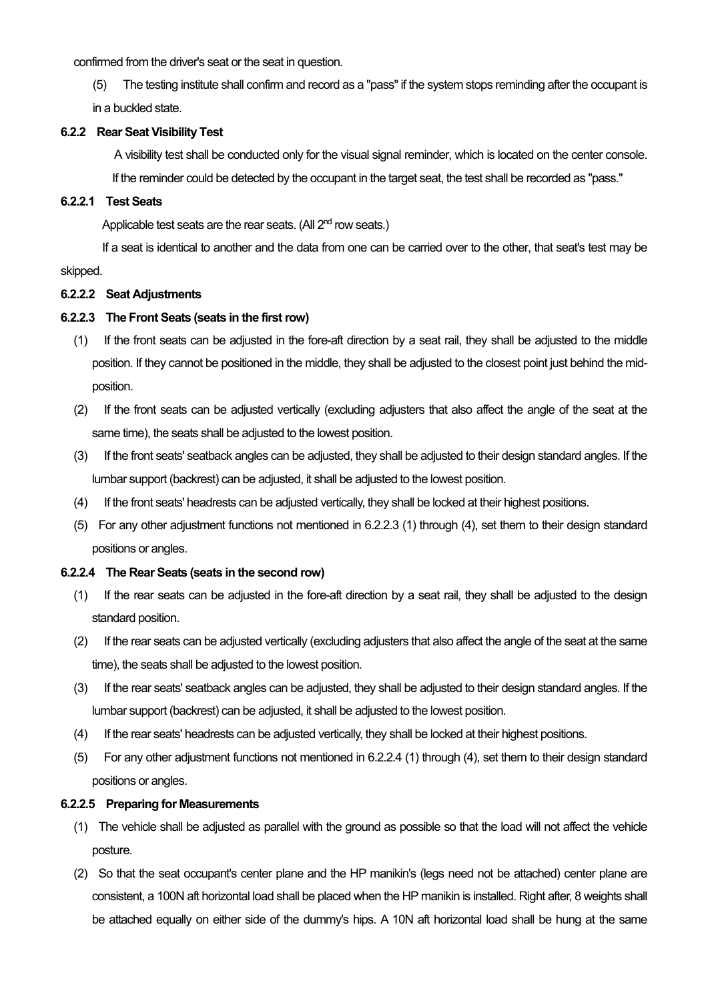confirmed from the driver's seat or the seat in question.

(5) The testing institute shall confirm and record as a "pass" if the system stops reminding after the occupant is in a buckled state.

# **6.2.2 Rear Seat Visibility Test**

A visibility test shall be conducted only for the visual signal reminder, which is located on the center console. If the reminder could be detected by the occupant in the target seat, the test shall be recorded as "pass."

# **6.2.2.1 Test Seats**

Applicable test seats are the rear seats. (All 2<sup>nd</sup> row seats.)

If a seat is identical to another and the data from one can be carried over to the other, that seat's test may be skipped.

# **6.2.2.2 Seat Adjustments**

# **6.2.2.3 The Front Seats (seats in the first row)**

- (1) If the front seats can be adjusted in the fore-aft direction by a seat rail, they shall be adjusted to the middle position. If they cannot be positioned in the middle, they shall be adjusted to the closest point just behind the midposition.
- (2) If the front seats can be adjusted vertically (excluding adjusters that also affect the angle of the seat at the same time), the seats shall be adjusted to the lowest position.
- (3) If the front seats' seatback angles can be adjusted, they shall be adjusted to their design standard angles. If the lumbar support (backrest) can be adjusted, it shall be adjusted to the lowest position.
- (4) If the front seats' headrests can be adjusted vertically, they shall be locked at their highest positions.
- (5) For any other adjustment functions not mentioned in 6.2.2.3 (1) through (4), set them to their design standard positions or angles.

## **6.2.2.4 The Rear Seats (seats in the second row)**

- (1) If the rear seats can be adjusted in the fore-aft direction by a seat rail, they shall be adjusted to the design standard position.
- (2) If the rear seats can be adjusted vertically (excluding adjusters that also affect the angle of the seat at the same time), the seats shall be adjusted to the lowest position.
- (3) If the rear seats' seatback angles can be adjusted, they shall be adjusted to their design standard angles. If the lumbar support (backrest) can be adjusted, it shall be adjusted to the lowest position.
- (4) If the rear seats' headrests can be adjusted vertically, they shall be locked at their highest positions.
- (5) For any other adjustment functions not mentioned in 6.2.2.4 (1) through (4), set them to their design standard positions or angles.

## **6.2.2.5 Preparing for Measurements**

- (1) The vehicle shall be adjusted as parallel with the ground as possible so that the load will not affect the vehicle posture.
- (2) So that the seat occupant's center plane and the HP manikin's (legs need not be attached) center plane are consistent, a 100N aft horizontal load shall be placed when the HP manikin is installed. Right after, 8 weights shall be attached equally on either side of the dummy's hips. A 10N aft horizontal load shall be hung at the same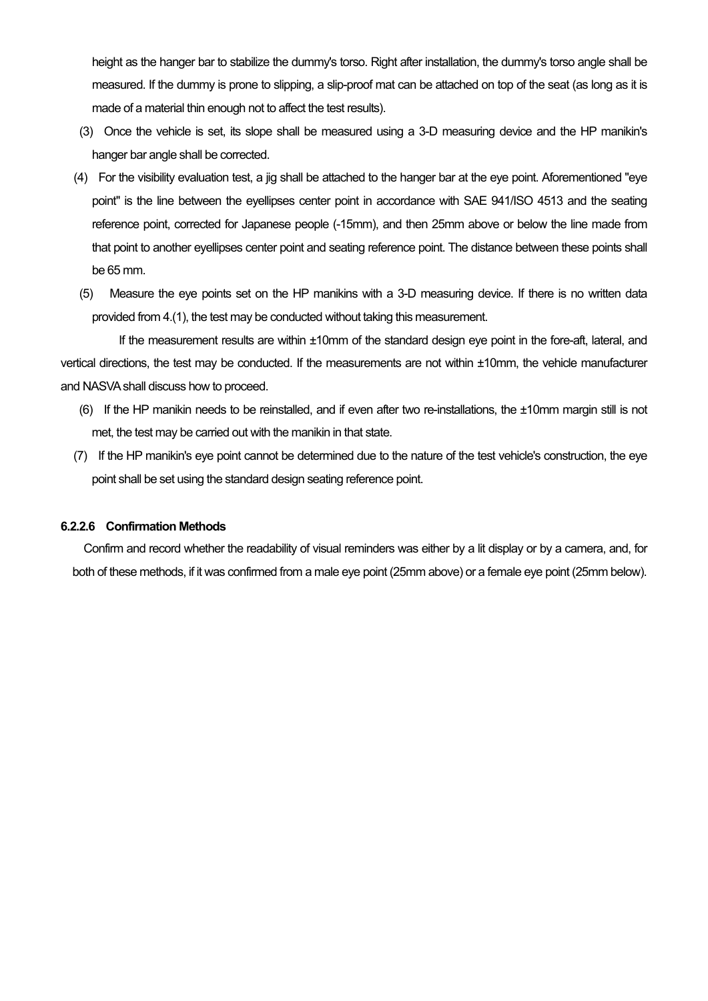height as the hanger bar to stabilize the dummy's torso. Right after installation, the dummy's torso angle shall be measured. If the dummy is prone to slipping, a slip-proof mat can be attached on top of the seat (as long as it is made of a material thin enough not to affect the test results).

- (3) Once the vehicle is set, its slope shall be measured using a 3-D measuring device and the HP manikin's hanger bar angle shall be corrected.
- (4) For the visibility evaluation test, a jig shall be attached to the hanger bar at the eye point. Aforementioned "eye point" is the line between the eyellipses center point in accordance with SAE 941/ISO 4513 and the seating reference point, corrected for Japanese people (-15mm), and then 25mm above or below the line made from that point to another eyellipses center point and seating reference point. The distance between these points shall be 65 mm.
- (5) Measure the eye points set on the HP manikins with a 3-D measuring device. If there is no written data provided from 4.(1), the test may be conducted without taking this measurement.

If the measurement results are within ±10mm of the standard design eye point in the fore-aft, lateral, and vertical directions, the test may be conducted. If the measurements are not within ±10mm, the vehicle manufacturer and NASVA shall discuss how to proceed.

- (6) If the HP manikin needs to be reinstalled, and if even after two re-installations, the ±10mm margin still is not met, the test may be carried out with the manikin in that state.
- (7) If the HP manikin's eye point cannot be determined due to the nature of the test vehicle's construction, the eye point shall be set using the standard design seating reference point.

#### **6.2.2.6 Confirmation Methods**

Confirm and record whether the readability of visual reminders was either by a lit display or by a camera, and, for both of these methods, if it was confirmed from a male eye point (25mm above) or a female eye point (25mm below).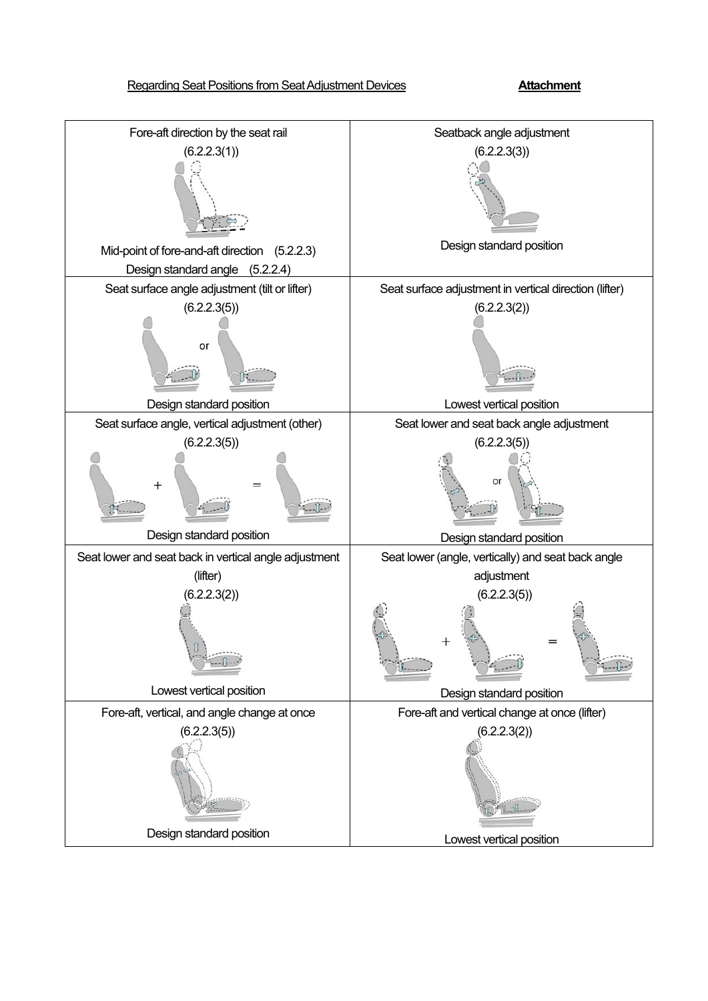# Regarding Seat Positions from Seat Adjustment Devices **Attachment**

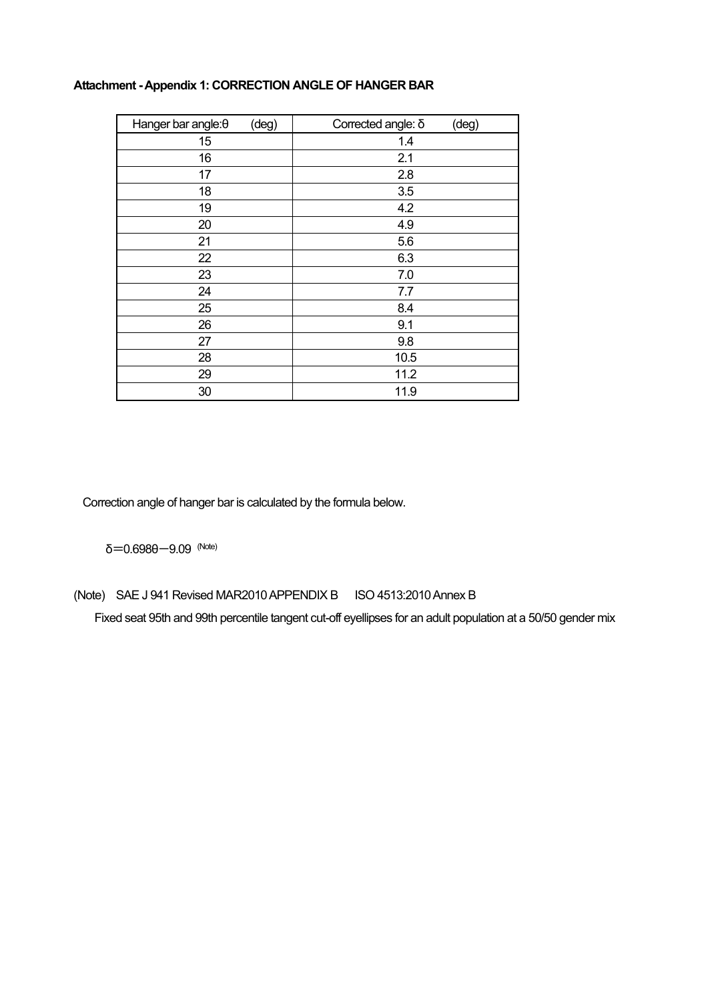| (deg)<br>Hanger bar angle: $\theta$ | Corrected angle: δ<br>(deg) |
|-------------------------------------|-----------------------------|
| 15                                  | 1.4                         |
| 16                                  | 2.1                         |
| 17                                  | 2.8                         |
| 18                                  | 3.5                         |
| 19                                  | 4.2                         |
| 20                                  | 4.9                         |
| 21                                  | 5.6                         |
| 22                                  | 6.3                         |
| 23                                  | 7.0                         |
| 24                                  | 7.7                         |
| 25                                  | 8.4                         |
| 26                                  | 9.1                         |
| 27                                  | 9.8                         |
| 28                                  | 10.5                        |
| 29                                  | 11.2                        |
| 30                                  | 11.9                        |

# **Attachment - Appendix 1: CORRECTION ANGLE OF HANGER BAR**

Correction angle of hanger bar is calculated by the formula below.

δ=0.698θ-9.09 (Note)

(Note) SAE J 941 Revised MAR2010 APPENDIX B ISO 4513:2010 Annex B

Fixed seat 95th and 99th percentile tangent cut-off eyellipses for an adult population at a 50/50 gender mix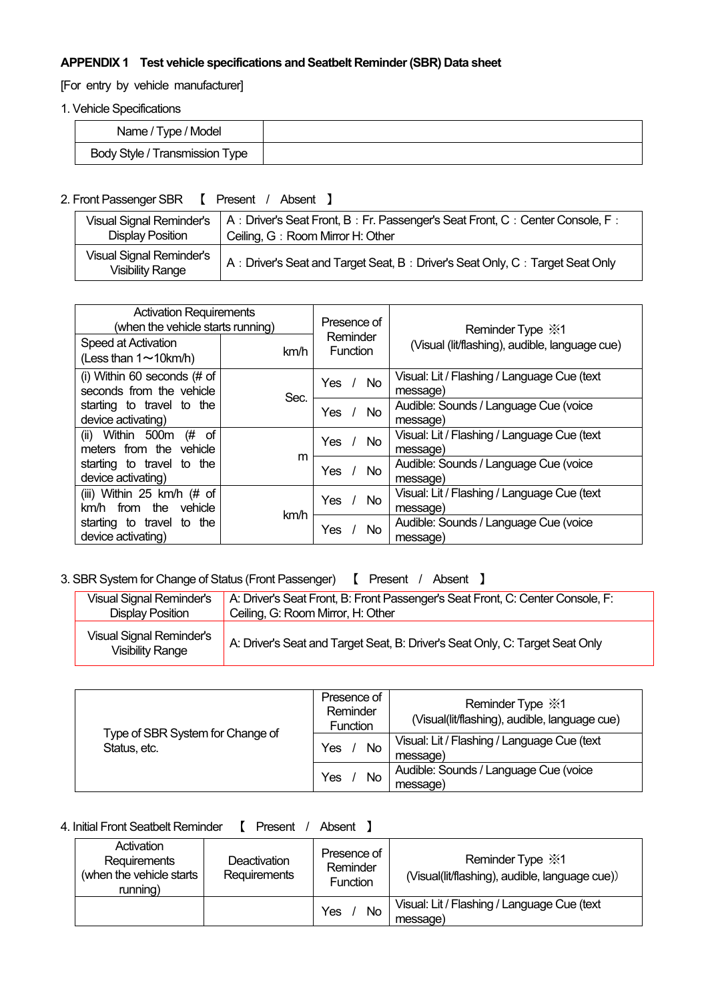# **APPENDIX 1 Test vehicle specifications and Seatbelt Reminder (SBR) Data sheet**

[For entry by vehicle manufacturer]

1. Vehicle Specifications

| Name / Type / Model                   |  |
|---------------------------------------|--|
| <b>Body Style / Transmission Type</b> |  |

2. Front Passenger SBR 【 Present / Absent 】

| Visual Signal Reminder's                            | A : Driver's Seat Front, B : Fr. Passenger's Seat Front, C : Center Console, F : |
|-----------------------------------------------------|----------------------------------------------------------------------------------|
| Display Position                                    | Ceiling, G: Room Mirror H: Other                                                 |
| Visual Signal Reminder's<br><b>Visibility Range</b> | A: Driver's Seat and Target Seat, B: Driver's Seat Only, C: Target Seat Only     |

| <b>Activation Requirements</b><br>(when the vehicle starts running) |      | Presence of<br>Reminder | Reminder Type $\cdot\!\!$ 1                             |
|---------------------------------------------------------------------|------|-------------------------|---------------------------------------------------------|
| Speed at Activation<br>(Less than $1 \sim 10$ km/h)                 | km/h | <b>Function</b>         | (Visual (lit/flashing), audible, language cue)          |
| (i) Within 60 seconds $#$ of                                        |      | <b>Yes</b>              | Visual: Lit / Flashing / Language Cue (text             |
| seconds from the vehicle                                            |      | No.                     | message)                                                |
| starting to travel to the                                           | Sec. | Yes                     | Audible: Sounds / Language Cue (voice                   |
| device activating)                                                  |      | No.                     | message)                                                |
| (ii) Within 500 $m$ (#<br>of<br>meters from the vehicle             |      | Yes<br>No.              | Visual: Lit / Flashing / Language Cue (text<br>message) |
| starting to travel to the                                           | m    | <b>Yes</b>              | Audible: Sounds / Language Cue (voice                   |
| device activating)                                                  |      | No.                     | message)                                                |
| (iii) Within 25 $km/h$ (# of                                        |      | <b>Yes</b>              | Visual: Lit / Flashing / Language Cue (text             |
| km/h from the vehicle                                               |      | No.                     | message)                                                |
| starting to travel to the                                           | km/h | Yes                     | Audible: Sounds / Language Cue (voice                   |
| device activating)                                                  |      | No.                     | message)                                                |

3. SBR System for Change of Status (Front Passenger) 【 Present / Absent 】

| <b>Visual Signal Reminder's</b>                            | A: Driver's Seat Front, B: Front Passenger's Seat Front, C: Center Console, F: |
|------------------------------------------------------------|--------------------------------------------------------------------------------|
| Display Position                                           | Ceiling, G: Room Mirror, H: Other                                              |
| <b>Visual Signal Reminder's</b><br><b>Visibility Range</b> | A: Driver's Seat and Target Seat, B: Driver's Seat Only, C: Target Seat Only   |

| Type of SBR System for Change of<br>Status, etc. | Presence of<br>Reminder<br><b>Function</b> | Reminder Type $\frac{1}{2}$ 1<br>(Visual(lit/flashing), audible, language cue) |
|--------------------------------------------------|--------------------------------------------|--------------------------------------------------------------------------------|
|                                                  | Yes<br>No.                                 | Visual: Lit / Flashing / Language Cue (text<br>message)                        |
|                                                  | Yes<br>No                                  | Audible: Sounds / Language Cue (voice<br>message)                              |

| Present<br>Absent |
|-------------------|
|                   |

| Activation<br>Requirements<br>(when the vehicle starts)<br>running) | Deactivation<br>Requirements | Presence of<br>Reminder<br><b>Function</b> | Reminder Type $\cdot\!\!$ 1<br>(Visual(lit/flashing), audible, language cue)) |
|---------------------------------------------------------------------|------------------------------|--------------------------------------------|-------------------------------------------------------------------------------|
|                                                                     |                              | No.<br>Yes                                 | Visual: Lit / Flashing / Language Cue (text<br>message)                       |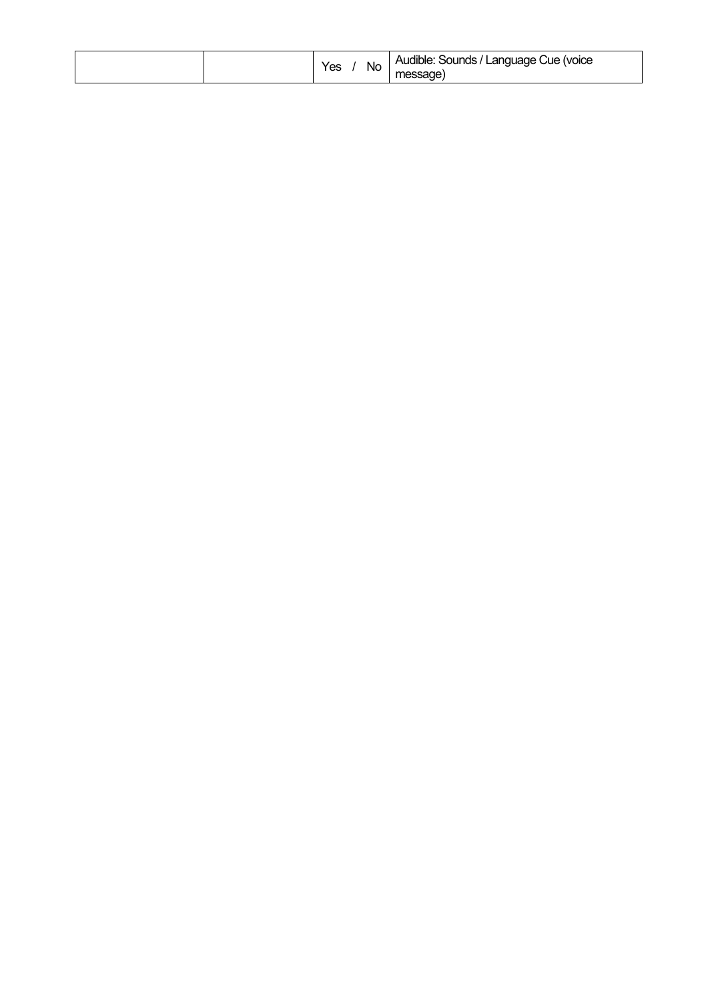|  | v.or<br>No.<br>င | / Language Cue (voice<br><b>Audible:</b><br>Sounds |
|--|------------------|----------------------------------------------------|
|--|------------------|----------------------------------------------------|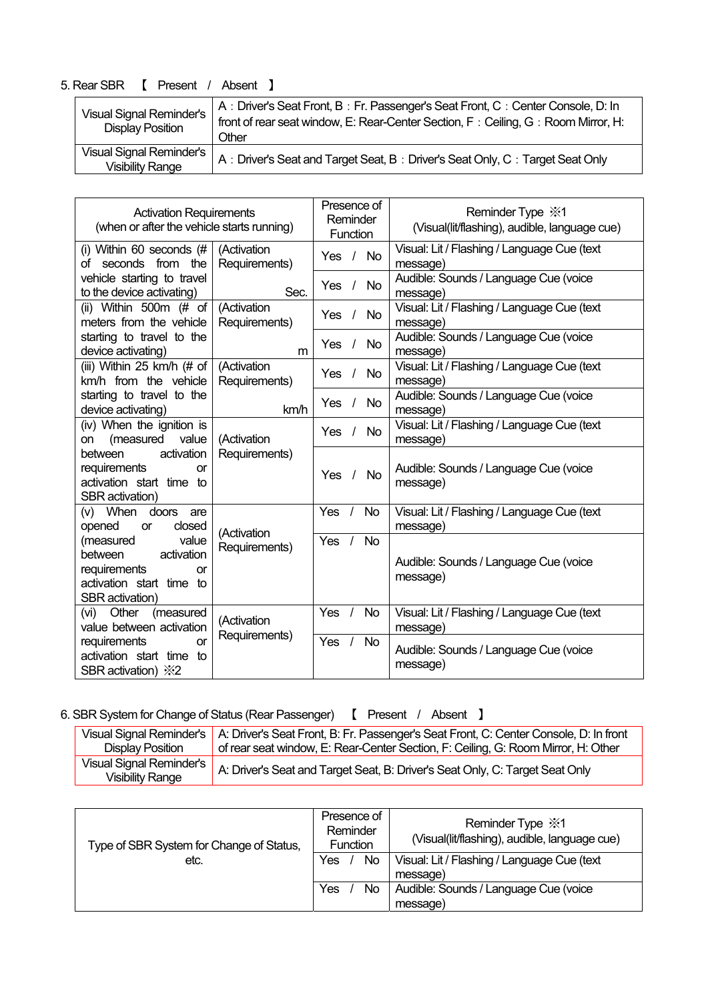| <b>Visual Signal Reminder's</b><br><b>Display Position</b> |                                                     | A: Driver's Seat Front, B: Fr. Passenger's Seat Front, C: Center Console, D: In            |
|------------------------------------------------------------|-----------------------------------------------------|--------------------------------------------------------------------------------------------|
|                                                            |                                                     | front of rear seat window, E: Rear-Center Section, F: Ceiling, G: Room Mirror, H:<br>Other |
|                                                            | Visual Signal Reminder's<br><b>Visibility Range</b> | A: Driver's Seat and Target Seat, B: Driver's Seat Only, C: Target Seat Only               |

| <b>Activation Requirements</b><br>(when or after the vehicle starts running)                                            |                              | Presence of<br>Reminder<br>Function |           | Reminder Type $\cdot\!\!$ 1<br>(Visual(lit/flashing), audible, language cue) |
|-------------------------------------------------------------------------------------------------------------------------|------------------------------|-------------------------------------|-----------|------------------------------------------------------------------------------|
| (i) Within 60 seconds $#$<br>of seconds from the                                                                        | (Activation<br>Requirements) | $\sqrt{ }$<br>Yes                   | <b>No</b> | Visual: Lit / Flashing / Language Cue (text<br>message)                      |
| vehicle starting to travel<br>to the device activating)                                                                 | Sec.                         | <b>Yes</b>                          | <b>No</b> | Audible: Sounds / Language Cue (voice<br>message)                            |
| (ii) Within 500m (# of<br>meters from the vehicle                                                                       | (Activation<br>Requirements) | <b>Yes</b><br>$\prime$              | <b>No</b> | Visual: Lit / Flashing / Language Cue (text<br>message)                      |
| starting to travel to the<br>device activating)                                                                         | m                            | Yes                                 | <b>No</b> | Audible: Sounds / Language Cue (voice<br>message)                            |
| (iii) Within 25 km/h (# of<br>km/h from the vehicle                                                                     | (Activation<br>Requirements) | Yes                                 | <b>No</b> | Visual: Lit / Flashing / Language Cue (text<br>message)                      |
| starting to travel to the<br>device activating)                                                                         | km/h                         | <b>Yes</b>                          | <b>No</b> | Audible: Sounds / Language Cue (voice<br>message)                            |
| (iv) When the ignition is<br>(measured<br>value<br>on                                                                   | (Activation                  | Yes                                 | <b>No</b> | Visual: Lit / Flashing / Language Cue (text<br>message)                      |
| activation<br>between<br>requirements<br>or<br>activation start time to<br>SBR activation)                              | Requirements)                | <b>Yes</b>                          | <b>No</b> | Audible: Sounds / Language Cue (voice<br>message)                            |
| (v) When<br>doors<br>are<br>opened<br>closed<br><b>or</b>                                                               | (Activation                  | Yes                                 | <b>No</b> | Visual: Lit / Flashing / Language Cue (text<br>message)                      |
| value<br>(measured<br>activation<br>between<br>requirements<br>or<br>activation start time to<br><b>SBR</b> activation) | Requirements)                | Yes                                 | <b>No</b> | Audible: Sounds / Language Cue (voice<br>message)                            |
| Other<br>(vi)<br>(measured<br>value between activation                                                                  | (Activation                  | Yes                                 | <b>No</b> | Visual: Lit / Flashing / Language Cue (text<br>message)                      |
| requirements<br>or<br>activation start time to<br>SBR activation) %2                                                    | Requirements)                | Yes                                 | <b>No</b> | Audible: Sounds / Language Cue (voice<br>message)                            |

6. SBR System for Change of Status (Rear Passenger) [ Present / Absent ]

|                          | Visual Signal Reminder's   A: Driver's Seat Front, B: Fr. Passenger's Seat Front, C: Center Console, D: In front |
|--------------------------|------------------------------------------------------------------------------------------------------------------|
| Display Position         | of rear seat window, E: Rear-Center Section, F: Ceiling, G: Room Mirror, H: Other                                |
| Visual Signal Reminder's | A: Driver's Seat and Target Seat, B: Driver's Seat Only, C: Target Seat Only                                     |
| <b>Visibility Range</b>  |                                                                                                                  |

| Type of SBR System for Change of Status, | Presence of<br>Reminder<br><b>Function</b> | Reminder Type $\frac{1}{2}$ 1<br>(Visual(lit/flashing), audible, language cue) |  |
|------------------------------------------|--------------------------------------------|--------------------------------------------------------------------------------|--|
| etc.                                     | No.<br>Yes                                 | Visual: Lit / Flashing / Language Cue (text                                    |  |
|                                          |                                            | message)                                                                       |  |
|                                          | Yes<br>No                                  | Audible: Sounds / Language Cue (voice                                          |  |
|                                          |                                            | message)                                                                       |  |

# 5. Rear SBR 【 Present / Absent 】

Г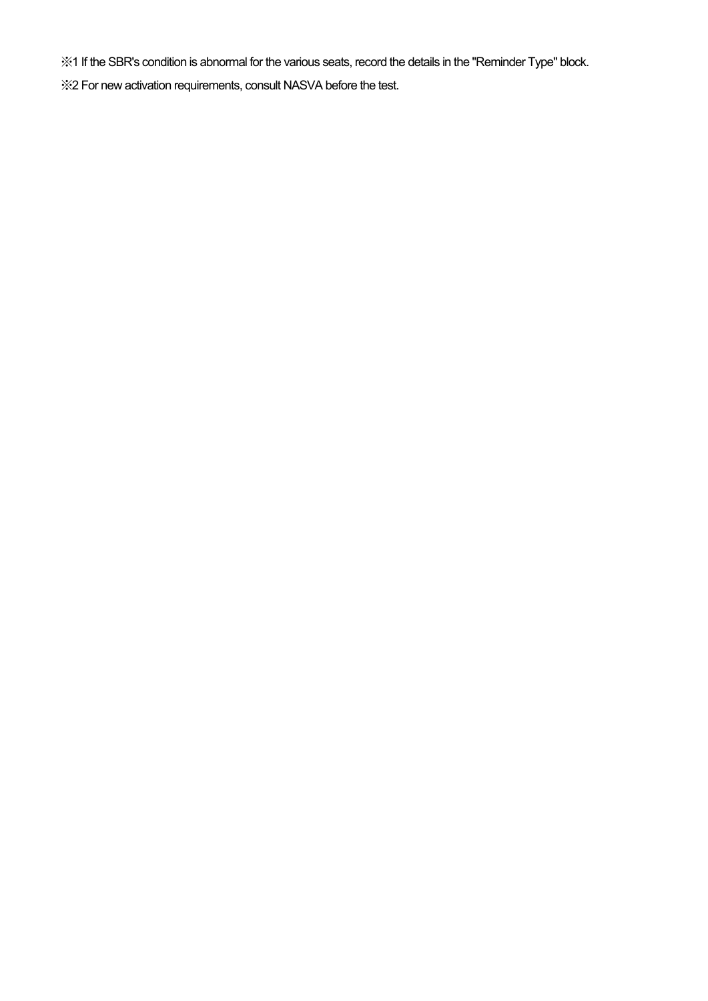※1 If the SBR's condition is abnormal for the various seats, record the details in the "Reminder Type" block.

※2 For new activation requirements, consult NASVA before the test.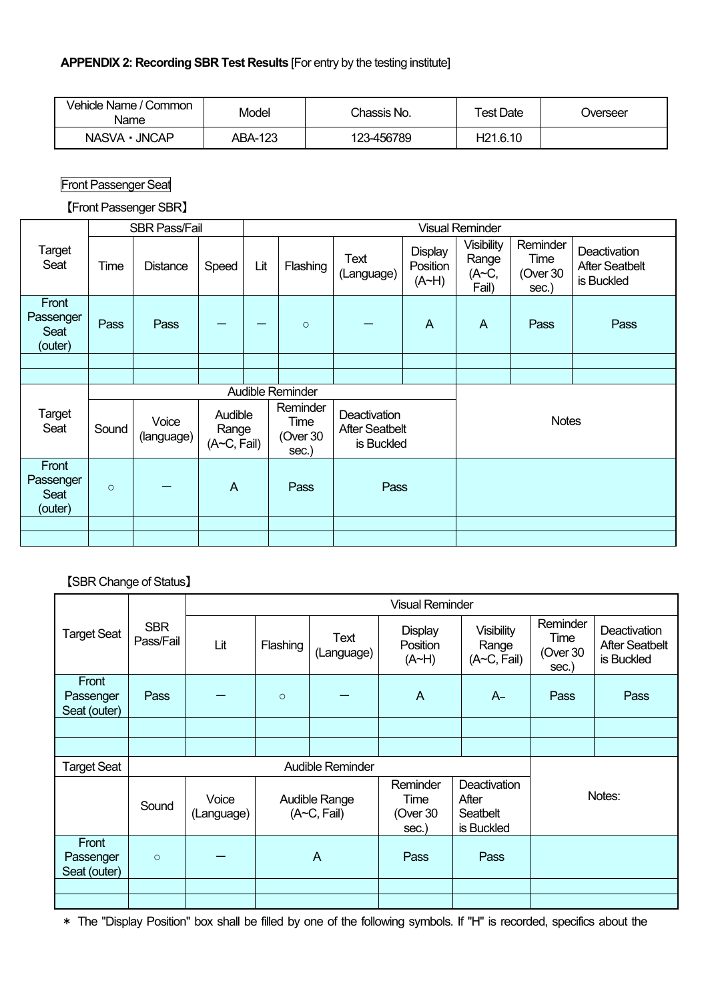| Vehicle Name / Common<br>Name | Model   |            | Test Date            | Jverseer |
|-------------------------------|---------|------------|----------------------|----------|
| NASVA · JNCAP                 | ABA-123 | 123-456789 | H <sub>21.6.10</sub> |          |

Front Passenger Seat

【Front Passenger SBR】

|                                       |         | <b>SBR Pass/Fail</b> |                                              |     | <b>Visual Reminder</b>                                                                       |                    |                              |                                                     |                                       |                                                     |  |  |
|---------------------------------------|---------|----------------------|----------------------------------------------|-----|----------------------------------------------------------------------------------------------|--------------------|------------------------------|-----------------------------------------------------|---------------------------------------|-----------------------------------------------------|--|--|
| Target<br>Seat                        | Time    | <b>Distance</b>      | Speed                                        | Lit | Flashing                                                                                     | Text<br>(Language) | Display<br>Position<br>(A~H) | <b>Visibility</b><br>Range<br>$(A \sim C,$<br>Fail) | Reminder<br>Time<br>(Over 30<br>sec.) | Deactivation<br><b>After Seatbelt</b><br>is Buckled |  |  |
| Front<br>Passenger<br>Seat<br>(outer) | Pass    | Pass                 |                                              |     | $\circ$                                                                                      |                    | A                            | A                                                   | Pass                                  | Pass                                                |  |  |
|                                       |         |                      |                                              |     |                                                                                              |                    |                              |                                                     |                                       |                                                     |  |  |
|                                       |         |                      |                                              |     |                                                                                              |                    |                              |                                                     |                                       |                                                     |  |  |
|                                       |         |                      |                                              |     | Audible Reminder                                                                             |                    |                              |                                                     |                                       |                                                     |  |  |
| Target<br>Seat                        | Sound   | Voice<br>(language)  | Audible<br>Range<br>$(A\neg C, \text{fail})$ |     | Reminder<br>Deactivation<br>Time<br><b>After Seatbelt</b><br>(Over 30<br>is Buckled<br>sec.) |                    |                              |                                                     | <b>Notes</b>                          |                                                     |  |  |
| Front<br>Passenger<br>Seat<br>(outer) | $\circ$ |                      | $\overline{A}$                               |     | Pass                                                                                         | Pass               |                              |                                                     |                                       |                                                     |  |  |
|                                       |         |                      |                                              |     |                                                                                              |                    |                              |                                                     |                                       |                                                     |  |  |
|                                       |         |                      |                                              |     |                                                                                              |                    |                              |                                                     |                                       |                                                     |  |  |

【SBR Change of Status】

|                                    |                         |                     | <b>Visual Reminder</b> |                              |                                         |                                                        |                                       |                                                            |  |  |
|------------------------------------|-------------------------|---------------------|------------------------|------------------------------|-----------------------------------------|--------------------------------------------------------|---------------------------------------|------------------------------------------------------------|--|--|
| <b>Target Seat</b>                 | <b>SBR</b><br>Pass/Fail | Lit                 | Flashing               | Text<br>(Language)           | <b>Display</b><br>Position<br>(A~H)     | <b>Visibility</b><br>Range<br>$(A\neg C, \text{fail})$ | Reminder<br>Time<br>(Over 30<br>sec.) | <b>Deactivation</b><br><b>After Seatbelt</b><br>is Buckled |  |  |
| Front<br>Passenger<br>Seat (outer) | Pass                    |                     | $\circ$                |                              | $\mathsf{A}$                            | $A -$                                                  | Pass                                  | Pass                                                       |  |  |
|                                    |                         |                     |                        |                              |                                         |                                                        |                                       |                                                            |  |  |
|                                    |                         |                     |                        |                              |                                         |                                                        |                                       |                                                            |  |  |
| <b>Target Seat</b>                 |                         |                     |                        | <b>Audible Reminder</b>      |                                         |                                                        |                                       |                                                            |  |  |
|                                    | Sound                   | Voice<br>(Language) |                        | Audible Range<br>(A~C, Fail) | Reminder<br>Time<br>(Over $30$<br>sec.) | Deactivation<br>After<br>Seatbelt<br>is Buckled        |                                       | Notes:                                                     |  |  |
| Front<br>Passenger<br>Seat (outer) | $\circ$                 |                     | $\overline{A}$         |                              | Pass                                    | Pass                                                   |                                       |                                                            |  |  |
|                                    |                         |                     |                        |                              |                                         |                                                        |                                       |                                                            |  |  |

\* The "Display Position" box shall be filled by one of the following symbols. If "H" is recorded, specifics about the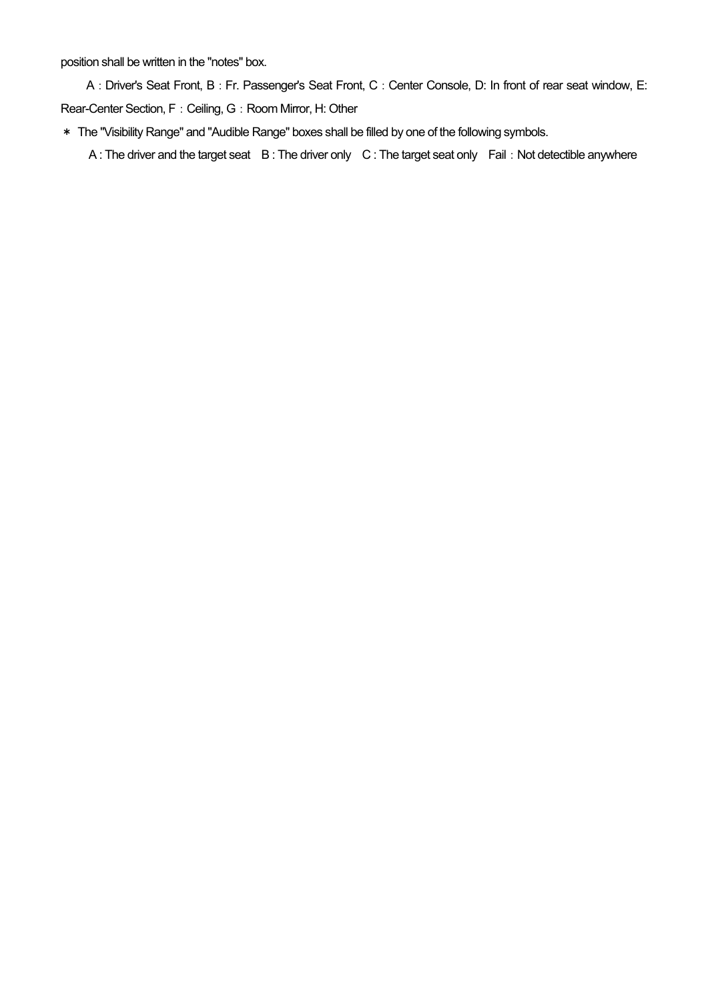position shall be written in the "notes" box.

A: Driver's Seat Front, B: Fr. Passenger's Seat Front, C: Center Console, D: In front of rear seat window, E: Rear-Center Section, F: Ceiling, G: Room Mirror, H: Other

\* The "Visibility Range" and "Audible Range" boxes shall be filled by one of the following symbols.

A : The driver and the target seat B : The driver only C : The target seat only Fail: Not detectible anywhere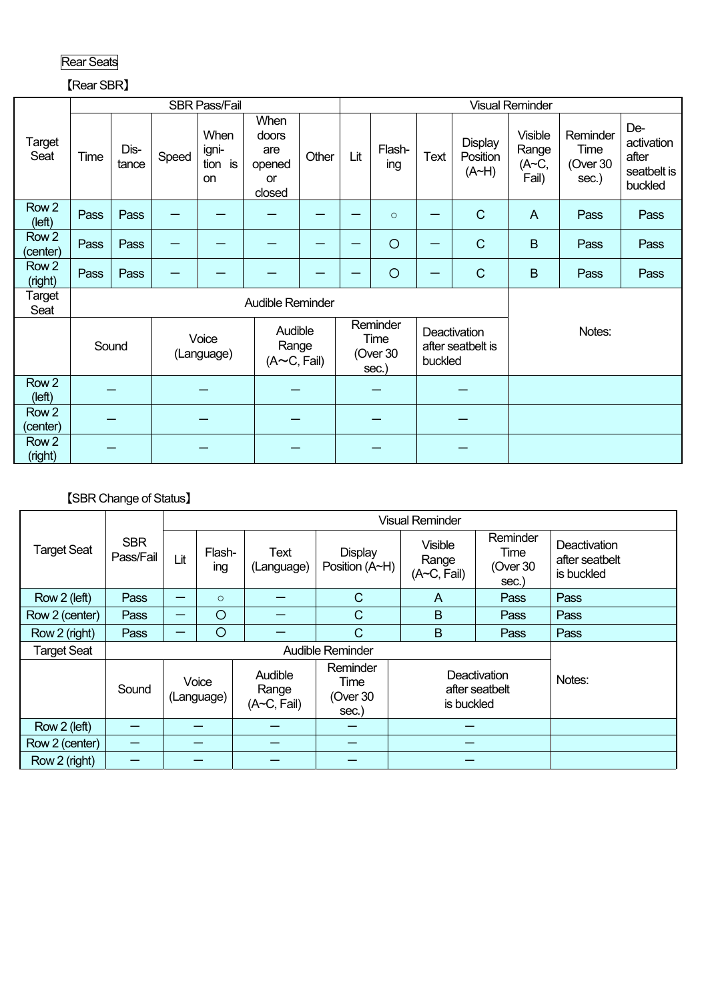| 11.<br>ш.<br>—<br>ı |
|---------------------|
|---------------------|

# 【Rear SBR】

|                              |       |               |                                                                      | <b>SBR Pass/Fail</b>                  |                                                |                  | <b>Visual Reminder</b> |                                       |         |                                     |                                           |                                       |                                                      |  |
|------------------------------|-------|---------------|----------------------------------------------------------------------|---------------------------------------|------------------------------------------------|------------------|------------------------|---------------------------------------|---------|-------------------------------------|-------------------------------------------|---------------------------------------|------------------------------------------------------|--|
| Target<br>Seat               | Time  | Dis-<br>tance | Speed                                                                | When<br>igni-<br>tion is<br><b>on</b> | When<br>doors<br>are<br>opened<br>or<br>closed | Other            | Lit                    | Flash-<br>ing                         | Text    | <b>Display</b><br>Position<br>(A~H) | <b>Visible</b><br>Range<br>(A~C,<br>Fail) | Reminder<br>Time<br>(Over 30<br>sec.) | De-<br>activation<br>after<br>seatbelt is<br>buckled |  |
| Row <sub>2</sub><br>(left)   | Pass  | Pass          |                                                                      |                                       |                                                |                  |                        | $\circ$                               |         | $\mathsf{C}$                        | $\overline{A}$                            | Pass                                  | Pass                                                 |  |
| Row <sub>2</sub><br>(center) | Pass  | Pass          |                                                                      |                                       |                                                |                  |                        | $\circ$                               |         | $\mathsf{C}$                        | $\mathsf B$                               | Pass                                  | Pass                                                 |  |
| Row <sub>2</sub><br>(right)  | Pass  | Pass          |                                                                      |                                       |                                                |                  |                        | $\circ$                               |         | $\mathsf{C}$                        | $\mathsf B$                               | Pass                                  | Pass                                                 |  |
| Target<br>Seat               |       |               |                                                                      |                                       |                                                | Audible Reminder |                        |                                       |         |                                     |                                           |                                       |                                                      |  |
|                              | Sound |               | Audible<br>Voice<br>Range<br>(Language)<br>$(A \sim C, \text{Fall})$ |                                       |                                                |                  |                        | Reminder<br>Time<br>(Over 30<br>sec.) | buckled | Deactivation<br>after seatbelt is   |                                           | Notes:                                |                                                      |  |
| Row <sub>2</sub><br>(left)   |       |               |                                                                      |                                       |                                                |                  |                        |                                       |         |                                     |                                           |                                       |                                                      |  |
| Row <sub>2</sub><br>(center) |       |               |                                                                      |                                       |                                                |                  |                        |                                       |         |                                     |                                           |                                       |                                                      |  |
| Row <sub>2</sub><br>(right)  |       |               |                                                                      |                                       |                                                |                  |                        |                                       |         |                                     |                                           |                                       |                                                      |  |

# 【SBR Change of Status】

| <b>Target Seat</b> | <b>SBR</b><br>Pass/Fail | Lit                 | Flash-<br>ing | Text<br>(Language)                           | <b>Display</b><br>Position (A~H)      | <b>Visible</b><br>Range<br>$(A\neg C, \text{Fall})$ | Reminder<br>Time<br>(Over 30<br>sec.) | Deactivation<br>after seatbelt<br>is buckled |
|--------------------|-------------------------|---------------------|---------------|----------------------------------------------|---------------------------------------|-----------------------------------------------------|---------------------------------------|----------------------------------------------|
| Row 2 (left)       | Pass                    |                     | $\circ$       |                                              | $\mathsf{C}$                          | A                                                   | Pass                                  | Pass                                         |
| Row 2 (center)     | Pass                    | —                   | O             |                                              | $\mathsf{C}$                          | B                                                   | Pass                                  | Pass                                         |
| Row 2 (right)      | Pass                    |                     | $\circ$       |                                              | $\mathbf C$                           | $\overline{B}$                                      | Pass                                  | Pass                                         |
| <b>Target Seat</b> |                         |                     |               |                                              | Audible Reminder                      |                                                     |                                       |                                              |
|                    | Sound                   | Voice<br>(Language) |               | Audible<br>Range<br>$(A\neg C, \text{fail})$ | Reminder<br>Time<br>(Over 30<br>sec.) | <b>Deactivation</b><br>after seatbelt<br>is buckled |                                       | Notes:                                       |
| Row 2 (left)       |                         |                     |               |                                              |                                       |                                                     |                                       |                                              |
| Row 2 (center)     | —                       |                     |               |                                              |                                       |                                                     |                                       |                                              |
| Row 2 (right)      |                         |                     |               |                                              |                                       |                                                     |                                       |                                              |